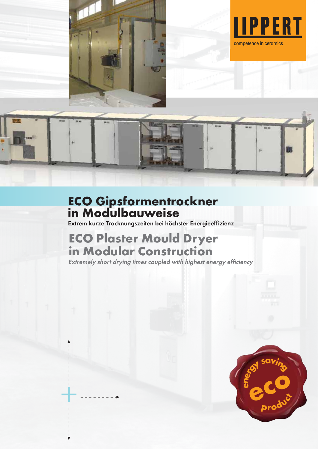



### **ECO Gipsformentrockner in Modulbauweise**

Extrem kurze Trocknungszeiten bei höchster Energieeffizienz

# **ECO Plaster Mould Dryer in Modular Construction**

 $+$ 

Extremely short drying times coupled with highest energy efficiency

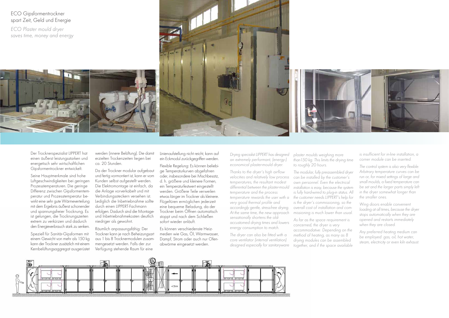Linienaufstellung nicht reicht, kann auf ein Eckmodul zurückgegriffen werden.

Flexible Regelung: Es können beliebige Temperaturkurven abgefahren oder, insbesondere bei Mischbesatz, d. h. größere und kleinere Formen, ein Temperaturfestwert eingestellt werden. Größere Teile verweilen etwas länger im Trockner als kleinere. Flügeltüren ermöglichen jederzeit eine bequeme Beladung, da der Trockner beim Öffnen automatisch stoppt und nach dem Schließen sofort wieder anläuft.

Es können verschiedenste Heizmedien wie Gas, Öl, Warmwasser, Dampf, Strom oder auch nur Ofenabwärme eingesetzt werden.

#### ECO Gipsformentrockner spart Zeit, Geld und Energie

Der Trocknerspezialist LIPPERT hat einen äußerst leistungsstarken und energetisch sehr wirtschaftlichen Gipsformentrockner entwickelt.

Seine Hauptmerkmale sind hohe Luftgeschwindigkeiten bei geringen Prozesstemperaturen. Die geringe Differenz zwischen Gipsformentemperatur und Prozesstemperatur bewirkt eine sehr gute Wärmeverteilung mit dem Ergebnis äußerst schonender und spannungsfreier Trocknung. Es ist gelungen, die Trocknungszeiten extrem zu verkürzen und dadurch den Energieverbrauch stark zu senken.

Wing doors enable convenient loading at all times, because the dryer stops automatically when they are opened and restarts immediately when they are closed.

Speziell für Sanitär-Gipsformen mit einem Gewicht von mehr als 150 kg kann der Trockner zusätzlich mit einem Kernbelüftungsaggregat ausgerüstet

werden (innere Belüftung). Die damit erzielten Trockenzeiten liegen bei ca. 20 Stunden.

Da der Trockner modular aufgebaut und fertig vormontiert ist, kann er vom Kunden selbst aufgestellt werden. Die Elektromontage ist einfach, da die Anlage vorverkabelt und mit Verbindungssteckern versehen ist. Lediglich die Inbetriebnahme sollte durch einen LIPPERT-Fachmann erfolgen. Dadurch sind die Montageund Inbetriebnahmekosten deutlich niedriger als gewohnt.

Räumlich anpassungsfähig: Der Trockner kann je nach Beheizungsart aus 1 bis 8 Trocknermodulen zusammengesetzt werden. Falls der zur Verfügung stehende Raum für eine

is insufficient for in-line installation, a corner module can be inserted.

The control system is also very flexible: Arbitrary temperature curves can be run or, for mixed settings of large and small moulds, a fixed temperature can be set and the larger parts simply left in the dryer somewhat longer than the smaller ones.

Any preferred heating medium can be employed: gas, oil, hot water, steam, electricity or even kiln exhaust.

ECO Plaster mould dryer saves time, money and energy







Drying specialist LIPPERT has designed an extremely performant, (energy-) economical plaster-mould dryer.

Thanks to the dryer's high airflow velocities and relatively low process temperatures, the resultant modest differential between the plaster-mould temperature and the process very good thermal profile and accordingly gentle, stress-free drying. At the same time, the new approach sensationally shortens the oldaccustomed drying times and lowers energy consumption to match.

The dryer can also be fitted with a core ventilator (internal ventilation) designed especially for sanitaryware

temperature rewards the user with a the customer needs LIPPERT's help for The modular, fully preassembled dryer can be installed by the customer's own personnel. Even the electrical installation is easy, because the system is fully hard-wired to plug-in status. All is the dryer's commissioning, so the overall cost of installation and commissioning is much lower than usual.

<sup>p</sup>laster moulds weighing more than150 kg. This limits the drying time to roughly 20 hours.

As far as the space requirement is concerned, the dryer is very accommodative: Depending on the method of heating, as many as 8 drying modules can be assembled together, and if the space available

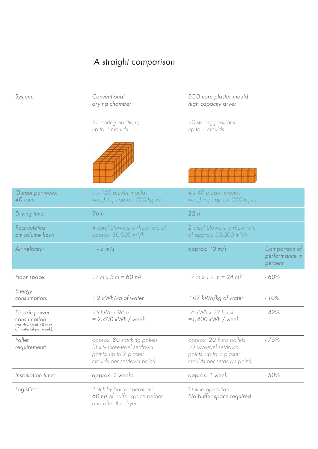# A straight comparison

| System:                                                                           | Conventional<br>drying chamber                                                                                    | ECO core plaster mould<br>high capacity dryer                                                           |                                            |
|-----------------------------------------------------------------------------------|-------------------------------------------------------------------------------------------------------------------|---------------------------------------------------------------------------------------------------------|--------------------------------------------|
|                                                                                   | 81 storing positions,<br>up to 2 moulds                                                                           | 20 storing positions,<br>up to 2 moulds                                                                 |                                            |
|                                                                                   |                                                                                                                   |                                                                                                         |                                            |
| Output per week<br>40 tons                                                        | 1 x 160 plaster moulds<br>weighing approx. 250 kg ea.                                                             | 4 x 40 plaster moulds<br>weighing approx. 250 kg ea.                                                    |                                            |
| Drying time:                                                                      | 96 h                                                                                                              | 22h                                                                                                     |                                            |
| <b>Recirculated</b><br>air volume flow:                                           | 4 axial blowers, airflow rate of<br>approx. 30,000 m <sup>3</sup> /h                                              | 2 axial blowers, airflow rate<br>of approx. 30,000 m <sup>3</sup> /h                                    |                                            |
| Air velocity:                                                                     | $1 - 2 m/s$                                                                                                       | approx. $10 \text{ m/s}$                                                                                | Comparison of<br>performance in<br>percent |
| Floor space:                                                                      | $12 m \times 5 m = 60 m^2$                                                                                        | $17 \text{ m} \times 1.4 \text{ m} = 24 \text{ m}^2$                                                    | $-60%$                                     |
| Energy<br>consumption:                                                            | 1.2 kWh/kg of water                                                                                               | 1.07 kWh/kg of water                                                                                    | $-10%$                                     |
| Electric power<br>consumption<br>(for drying of 40 tons<br>of material per week): | 25 kWh x 96 h<br>$= 2,400$ kWh / week                                                                             | 16 kWh x 22 h x 4<br>$=1,400$ kWh / week                                                                | $-42%$                                     |
| Pallet<br>requirement:                                                            | approx. 80 stacking pallets<br>(3 x 9 three-level setdown<br>points, up to 2 plaster<br>moulds per setdown point) | approx. 20 Euro pallets<br>10 two-level setdown<br>points; up to 2 plaster<br>moulds per setdown point) | $-75%$                                     |
| Installation time:                                                                | approx. 2 weeks                                                                                                   | approx. 1 week                                                                                          | $-50%$                                     |
| Logistics:                                                                        | Batch-by-batch operation:<br>60 m <sup>2</sup> of buffer space before<br>and after the dryer                      | Online operation:<br>No buffer space required                                                           |                                            |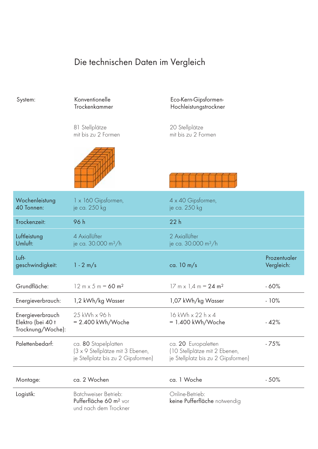## Die technischen Daten im Vergleich

| System:                                                    | Konventionelle<br>Trockenkammer                                                                | Eco-Kern-Gipsformen-<br>Hochleistungstrockner                                              |                            |
|------------------------------------------------------------|------------------------------------------------------------------------------------------------|--------------------------------------------------------------------------------------------|----------------------------|
|                                                            | 81 Stellplätze<br>mit bis zu 2 Formen                                                          | 20 Stellplätze<br>mit bis zu 2 Formen                                                      |                            |
|                                                            |                                                                                                |                                                                                            |                            |
| Wochenleistung<br>40 Tonnen:                               | 1 x 160 Gipsformen,<br>je ca. 250 kg                                                           | 4 x 40 Gipsformen,<br>je ca. 250 kg                                                        |                            |
| Trockenzeit:                                               | 96 h                                                                                           | 22h                                                                                        |                            |
| Luftleistung<br>Umluft:                                    | 4 Axiallüfter<br>je ca. 30.000 m <sup>3</sup> /h                                               | 2 Axiallüfter<br>je ca. 30.000 m <sup>3</sup> /h                                           |                            |
|                                                            |                                                                                                |                                                                                            |                            |
| Luft-<br>geschwindigkeit:                                  | $1 - 2 m/s$                                                                                    | ca. $10 \text{ m/s}$                                                                       | Prozentualer<br>Vergleich: |
| Grundfläche:                                               | $12 m \times 5 m = 60 m^2$                                                                     | $17 \text{ m} \times 1.4 \text{ m} = 24 \text{ m}^2$                                       | $-60%$                     |
| Energieverbrauch:                                          | 1,2 kWh/kg Wasser                                                                              | 1,07 kWh/kg Wasser                                                                         | $-10%$                     |
| Energieverbrauch<br>Elektro (bei 40 t<br>Trocknung/Woche): | 25 kWh x 96 h<br>$= 2.400$ kWh/Woche                                                           | 16 kWh x 22 h x 4<br>$= 1.400$ kWh/Woche                                                   | $-42%$                     |
| Palettenbedarf:                                            | ca. 80 Stapelplatten<br>(3 x 9 Stellplätze mit 3 Ebenen,<br>je Stellplatz bis zu 2 Gipsformen) | ca. 20 Europaletten<br>(10 Stellplätze mit 2 Ebenen,<br>je Stellplatz bis zu 2 Gipsformen) | $-75%$                     |
| Montage:                                                   | ca. 2 Wochen                                                                                   | ca. 1 Woche                                                                                | $-50%$                     |